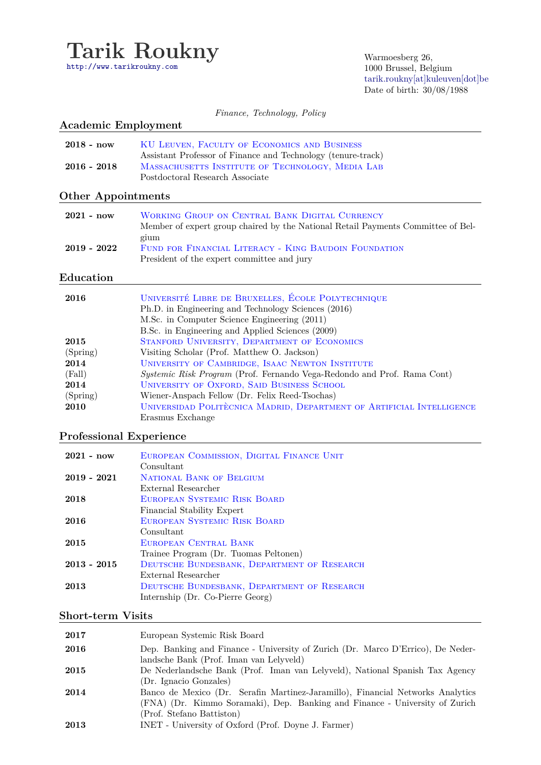

Warmoesberg 26, 1000 Brussel, Belgium [tarik.roukny\[at\]kuleuven\[dot\]be](mailto:tarik.roukny[at]kuleuven[dot]be) [D](mailto:tarik.roukny[at]kuleuven[dot]be)ate of birth: 30/08/1988

*Finance, Technology, Policy*

# **Academic Employment** 2018 - now KU LEUVEN, FACULTY OF ECONOMICS AND BUSINESS Assistant Professor of Finance and Technology (tenure-track) 2016 - 2018 MASSACHUSETTS INSTITUTE OF TECHNOLOGY, MEDIA LAB Postdoctoral Research Associate **Other Appointments 2021 - now** Working Group on Central Bank Digital Currency Member of expert group chaired by the National Retail Payments Committee of Belgium **2019 - 2022** Fund for Financial Literacy - King Baudoin Foundation President of the expert committee and jury **Education**

| 2016     | UNIVERSITÉ LIBRE DE BRUXELLES, ÉCOLE POLYTECHNIQUE                      |
|----------|-------------------------------------------------------------------------|
|          | Ph.D. in Engineering and Technology Sciences (2016)                     |
|          | M.Sc. in Computer Science Engineering (2011)                            |
|          | B.Sc. in Engineering and Applied Sciences (2009)                        |
| 2015     | STANFORD UNIVERSITY, DEPARTMENT OF ECONOMICS                            |
| (Spring) | Visiting Scholar (Prof. Matthew O. Jackson)                             |
| 2014     | UNIVERSITY OF CAMBRIDGE, ISAAC NEWTON INSTITUTE                         |
| (Fall)   | Systemic Risk Program (Prof. Fernando Vega-Redondo and Prof. Rama Cont) |
| 2014     | UNIVERSITY OF OXFORD, SAID BUSINESS SCHOOL                              |
| (Spring) | Wiener-Anspach Fellow (Dr. Felix Reed-Tsochas)                          |
| 2010     | UNIVERSIDAD POLITÈCNICA MADRID, DEPARTMENT OF ARTIFICIAL INTELLIGENCE   |
|          | Erasmus Exchange                                                        |

### **Professional Experience**

| $2021 - now$  | EUROPEAN COMMISSION, DIGITAL FINANCE UNIT   |
|---------------|---------------------------------------------|
|               | Consultant                                  |
| $2019 - 2021$ | NATIONAL BANK OF BELGIUM                    |
|               | External Researcher                         |
| 2018          | EUROPEAN SYSTEMIC RISK BOARD                |
|               | Financial Stability Expert                  |
| 2016          | EUROPEAN SYSTEMIC RISK BOARD                |
|               | Consultant                                  |
| 2015          | EUROPEAN CENTRAL BANK                       |
|               | Trainee Program (Dr. Tuomas Peltonen)       |
| $2013 - 2015$ | DEUTSCHE BUNDESBANK, DEPARTMENT OF RESEARCH |
|               | External Researcher                         |
| 2013          | DEUTSCHE BUNDESBANK, DEPARTMENT OF RESEARCH |
|               | Internship (Dr. Co-Pierre Georg)            |

### **Short-term Visits**

| 2017 | European Systemic Risk Board                                                                                               |
|------|----------------------------------------------------------------------------------------------------------------------------|
| 2016 | Dep. Banking and Finance - University of Zurich (Dr. Marco D'Errico), De Neder-<br>landsche Bank (Prof. Iman van Lelyveld) |
|      |                                                                                                                            |
| 2015 | De Nederlandsche Bank (Prof. Iman van Lelyveld), National Spanish Tax Agency                                               |
|      | (Dr. Ignacio Gonzales)                                                                                                     |
| 2014 | Banco de Mexico (Dr. Serafin Martinez-Jaramillo), Financial Networks Analytics                                             |
|      | (FNA) (Dr. Kimmo Soramaki), Dep. Banking and Finance - University of Zurich                                                |
|      | (Prof. Stefano Battiston)                                                                                                  |
| 2013 | INET - University of Oxford (Prof. Doyne J. Farmer)                                                                        |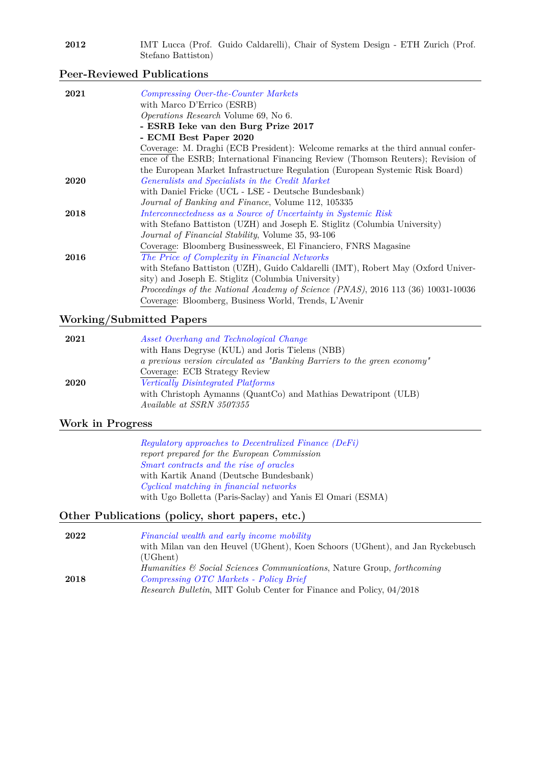| 2012 | IMT Lucca (Prof. Guido Caldarelli), Chair of System Design - ETH Zurich (Prof. |  |  |  |  |  |  |
|------|--------------------------------------------------------------------------------|--|--|--|--|--|--|
|      | Stefano Battiston)                                                             |  |  |  |  |  |  |

### **Peer-Reviewed Publications**

| 2021 | Compressing Over-the-Counter Markets                                             |
|------|----------------------------------------------------------------------------------|
|      | with Marco D'Errico (ESRB)                                                       |
|      | <i>Operations Research</i> Volume 69, No 6.                                      |
|      | - ESRB Ieke van den Burg Prize 2017                                              |
|      | - ECMI Best Paper 2020                                                           |
|      | Coverage: M. Draghi (ECB President): Welcome remarks at the third annual confer- |
|      | ence of the ESRB; International Financing Review (Thomson Reuters); Revision of  |
|      | the European Market Infrastructure Regulation (European Systemic Risk Board)     |
| 2020 | Generalists and Specialists in the Credit Market                                 |
|      | with Daniel Fricke (UCL - LSE - Deutsche Bundesbank)                             |
|      | <i>Journal of Banking and Finance</i> , Volume 112, 105335                       |
| 2018 | Interconnectedness as a Source of Uncertainty in Systemic Risk                   |
|      | with Stefano Battiston (UZH) and Joseph E. Stiglitz (Columbia University)        |
|      | Journal of Financial Stability, Volume 35, 93-106                                |
|      | Coverage: Bloomberg Businessweek, El Financiero, FNRS Magasine                   |
| 2016 | The Price of Complexity in Financial Networks                                    |
|      | with Stefano Battiston (UZH), Guido Caldarelli (IMT), Robert May (Oxford Univer- |
|      | sity) and Joseph E. Stiglitz (Columbia University)                               |
|      | Proceedings of the National Academy of Science (PNAS), 2016 113 (36) 10031-10036 |
|      | Coverage: Bloomberg, Business World, Trends, L'Avenir                            |
|      |                                                                                  |

### **Working/Submitted Papers**

| 2021 | Asset Overhang and Technological Change                                  |
|------|--------------------------------------------------------------------------|
|      | with Hans Degryse (KUL) and Joris Tielens (NBB)                          |
|      | a previous version circulated as "Banking Barriers to the green economy" |
|      | Coverage: ECB Strategy Review                                            |
| 2020 | Vertically Disintegrated Platforms                                       |
|      | with Christoph Aymanns (QuantCo) and Mathias Dewatripont (ULB)           |
|      | Available at SSRN 3507355                                                |

## **Work in Progress**

*Regulatory approaches to Decentralized Finance (DeFi) report prepared for the European Commission Smart contracts and the rise of oracles* with Kartik Anand (Deutsche Bundesbank) *Cyclical matching in financial networks* with Ugo Bolletta (Paris-Saclay) and Yanis El Omari (ESMA)

## **Other Publications (policy, short papers, etc.)**

| 2022 | Financial wealth and early income mobility                                    |
|------|-------------------------------------------------------------------------------|
|      | with Milan van den Heuvel (UGhent), Koen Schoors (UGhent), and Jan Ryckebusch |
|      | $( \mathrm{UGhent})$                                                          |
|      | Humanities & Social Sciences Communications, Nature Group, forthcoming        |
| 2018 | Compressing OTC Markets - Policy Brief                                        |
|      | <i>Research Bulletin, MIT Golub Center for Finance and Policy, 04/2018</i>    |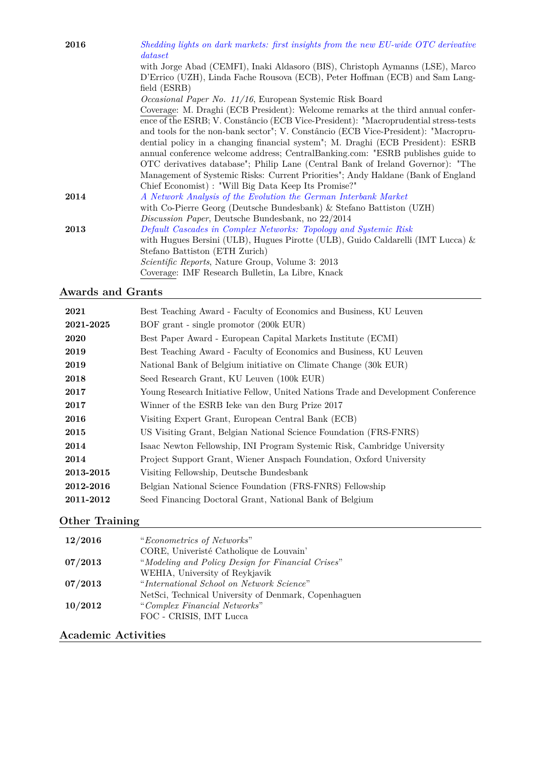| 2016 | Shedding lights on dark markets: first insights from the new EU-wide OTC derivative<br>dataset                                                                                |
|------|-------------------------------------------------------------------------------------------------------------------------------------------------------------------------------|
|      | with Jorge Abad (CEMFI), Inaki Aldasoro (BIS), Christoph Aymanns (LSE), Marco<br>D'Errico (UZH), Linda Fache Rousova (ECB), Peter Hoffman (ECB) and Sam Lang-<br>field (ESRB) |
|      | Occasional Paper No. 11/16, European Systemic Risk Board                                                                                                                      |
|      | Coverage: M. Draghi (ECB President): Welcome remarks at the third annual confer-                                                                                              |
|      | ence of the ESRB; V. Constâncio (ECB Vice-President): "Macroprudential stress-tests<br>and tools for the non-bank sector"; V. Constâncio (ECB Vice-President): "Macropru-     |
|      | dential policy in a changing financial system"; M. Draghi (ECB President): ESRB                                                                                               |
|      | annual conference welcome address; CentralBanking.com: "ESRB publishes guide to                                                                                               |
|      | OTC derivatives database"; Philip Lane (Central Bank of Ireland Governor): "The                                                                                               |
|      | Management of Systemic Risks: Current Priorities"; Andy Haldane (Bank of England)                                                                                             |
|      | Chief Economist) : "Will Big Data Keep Its Promise?"                                                                                                                          |
| 2014 | A Network Analysis of the Evolution the German Interbank Market                                                                                                               |
|      | with Co-Pierre Georg (Deutsche Bundesbank) & Stefano Battiston (UZH)                                                                                                          |
|      | Discussion Paper, Deutsche Bundesbank, no 22/2014                                                                                                                             |
| 2013 | Default Cascades in Complex Networks: Topology and Systemic Risk                                                                                                              |
|      | with Hugues Bersini (ULB), Hugues Pirotte (ULB), Guido Caldarelli (IMT Lucca) $\&$                                                                                            |
|      | Stefano Battiston (ETH Zurich)                                                                                                                                                |
|      | <i>Scientific Reports</i> , Nature Group, Volume 3: 2013                                                                                                                      |
|      | Coverage: IMF Research Bulletin, La Libre, Knack                                                                                                                              |

## **Awards and Grants**

| 2021      | Best Teaching Award - Faculty of Economics and Business, KU Leuven                |
|-----------|-----------------------------------------------------------------------------------|
| 2021-2025 | BOF grant - single promotor (200k EUR)                                            |
| 2020      | Best Paper Award - European Capital Markets Institute (ECMI)                      |
| 2019      | Best Teaching Award - Faculty of Economics and Business, KU Leuven                |
| 2019      | National Bank of Belgium initiative on Climate Change (30k EUR)                   |
| 2018      | Seed Research Grant, KU Leuven (100k EUR)                                         |
| 2017      | Young Research Initiative Fellow, United Nations Trade and Development Conference |
| 2017      | Winner of the ESRB Ieke van den Burg Prize 2017                                   |
| 2016      | Visiting Expert Grant, European Central Bank (ECB)                                |
| 2015      | US Visiting Grant, Belgian National Science Foundation (FRS-FNRS)                 |
| 2014      | Isaac Newton Fellowship, INI Program Systemic Risk, Cambridge University          |
| 2014      | Project Support Grant, Wiener Anspach Foundation, Oxford University               |
| 2013-2015 | Visiting Fellowship, Deutsche Bundesbank                                          |
| 2012-2016 | Belgian National Science Foundation (FRS-FNRS) Fellowship                         |
| 2011-2012 | Seed Financing Doctoral Grant, National Bank of Belgium                           |
|           |                                                                                   |

# **Other Training**

| 12/2016 | "Econometrics of Networks"                           |
|---------|------------------------------------------------------|
|         | CORE, Université Catholique de Louvain'              |
| 07/2013 | "Modeling and Policy Design for Financial Crises"    |
|         | WEHIA, University of Reykjavik                       |
| 07/2013 | "International School on Network Science"            |
|         | NetSci, Technical University of Denmark, Copenhaguen |
| 10/2012 | "Complex Financial Networks"                         |
|         | FOC - CRISIS, IMT Lucca                              |
|         |                                                      |

# **Academic Activities**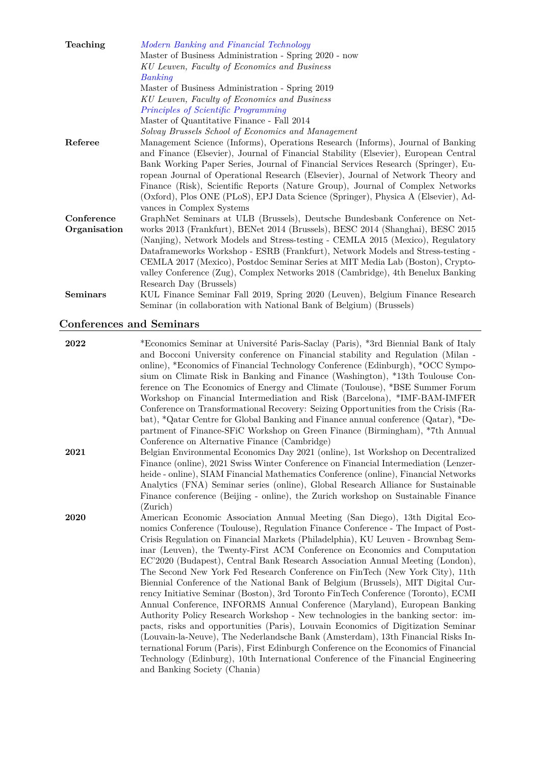| Teaching        | Modern Banking and Financial Technology                                             |
|-----------------|-------------------------------------------------------------------------------------|
|                 | Master of Business Administration - Spring 2020 - now                               |
|                 | KU Leuven, Faculty of Economics and Business                                        |
|                 | Banking                                                                             |
|                 | Master of Business Administration - Spring 2019                                     |
|                 | KU Leuven, Faculty of Economics and Business                                        |
|                 | Principles of Scientific Programming                                                |
|                 | Master of Quantitative Finance - Fall 2014                                          |
|                 | Solvay Brussels School of Economics and Management                                  |
| Referee         | Management Science (Informs), Operations Research (Informs), Journal of Banking     |
|                 | and Finance (Elsevier), Journal of Financial Stability (Elsevier), European Central |
|                 | Bank Working Paper Series, Journal of Financial Services Research (Springer), Eu-   |
|                 | ropean Journal of Operational Research (Elsevier), Journal of Network Theory and    |
|                 | Finance (Risk), Scientific Reports (Nature Group), Journal of Complex Networks      |
|                 | (Oxford), Plos ONE (PLoS), EPJ Data Science (Springer), Physica A (Elsevier), Ad-   |
|                 | vances in Complex Systems                                                           |
| Conference      | GraphNet Seminars at ULB (Brussels), Deutsche Bundesbank Conference on Net-         |
| Organisation    | works 2013 (Frankfurt), BENet 2014 (Brussels), BESC 2014 (Shanghai), BESC 2015      |
|                 | (Nanjing), Network Models and Stress-testing - CEMLA 2015 (Mexico), Regulatory      |
|                 | Dataframeworks Workshop - ESRB (Frankfurt), Network Models and Stress-testing -     |
|                 | CEMLA 2017 (Mexico), Postdoc Seminar Series at MIT Media Lab (Boston), Crypto-      |
|                 | valley Conference (Zug), Complex Networks 2018 (Cambridge), 4th Benelux Banking     |
|                 | Research Day (Brussels)                                                             |
| <b>Seminars</b> | KUL Finance Seminar Fall 2019, Spring 2020 (Leuven), Belgium Finance Research       |
|                 | Seminar (in collaboration with National Bank of Belgium) (Brussels)                 |

## **Conferences and Seminars**

| 2022 | *Economics Seminar at Université Paris-Saclay (Paris), *3rd Biennial Bank of Italy  |
|------|-------------------------------------------------------------------------------------|
|      | and Bocconi University conference on Financial stability and Regulation (Milan -    |
|      | online), *Economics of Financial Technology Conference (Edinburgh), *OCC Sympo-     |
|      | sium on Climate Risk in Banking and Finance (Washington), *13th Toulouse Con-       |
|      | ference on The Economics of Energy and Climate (Toulouse), *BSE Summer Forum        |
|      | Workshop on Financial Intermediation and Risk (Barcelona), *IMF-BAM-IMFER           |
|      | Conference on Transformational Recovery: Seizing Opportunities from the Crisis (Ra- |
|      | bat), *Qatar Centre for Global Banking and Finance annual conference (Qatar), *De-  |
|      | partment of Finance-SFIC Workshop on Green Finance (Birmingham), *7th Annual        |
|      | Conference on Alternative Finance (Cambridge)                                       |
| 2021 | Belgian Environmental Economics Day 2021 (online), 1st Workshop on Decentralized    |
|      | Finance (online), 2021 Swiss Winter Conference on Financial Intermediation (Lenzer- |
|      | heide - online), SIAM Financial Mathematics Conference (online), Financial Networks |
|      | Analytics (FNA) Seminar series (online), Global Research Alliance for Sustainable   |
|      | Finance conference (Beijing - online), the Zurich workshop on Sustainable Finance   |
|      | (Zurich)                                                                            |
| 2020 | American Economic Association Annual Meeting (San Diego), 13th Digital Eco-         |
|      | nomics Conference (Toulouse), Regulation Finance Conference - The Impact of Post-   |
|      | Crisis Regulation on Financial Markets (Philadelphia), KU Leuven - Brownbag Sem-    |
|      | inar (Leuven), the Twenty-First ACM Conference on Economics and Computation         |
|      | EC'2020 (Budapest), Central Bank Research Association Annual Meeting (London),      |
|      | The Second New York Fed Research Conference on FinTech (New York City), 11th        |
|      | Biennial Conference of the National Bank of Belgium (Brussels), MIT Digital Cur-    |
|      | rency Initiative Seminar (Boston), 3rd Toronto FinTech Conference (Toronto), ECMI   |
|      | Annual Conference, INFORMS Annual Conference (Maryland), European Banking           |
|      | Authority Policy Research Workshop - New technologies in the banking sector: im-    |
|      | pacts, risks and opportunities (Paris), Louvain Economics of Digitization Seminar   |
|      | (Louvain-la-Neuve), The Nederlandsche Bank (Amsterdam), 13th Financial Risks In-    |
|      | ternational Forum (Paris), First Edinburgh Conference on the Economics of Financial |
|      | Technology (Edinburg), 10th International Conference of the Financial Engineering   |
|      | and Banking Society (Chania)                                                        |
|      |                                                                                     |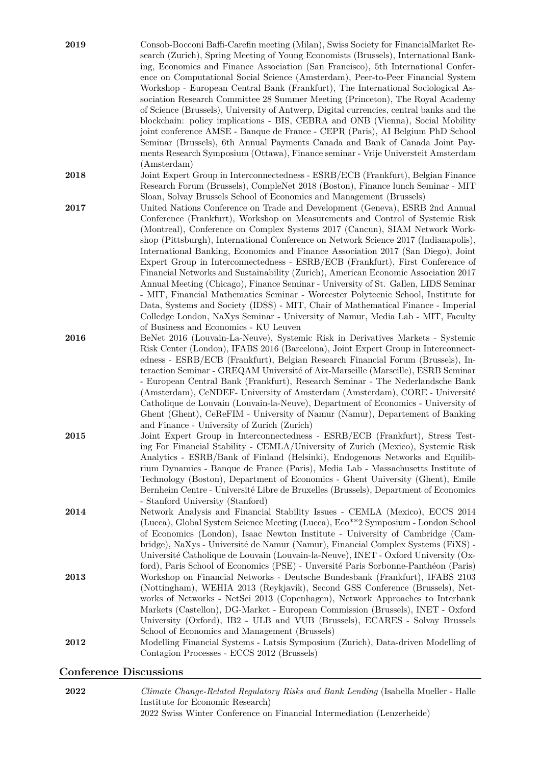| 2019 | Consob-Bocconi Baffi-Carefin meeting (Milan), Swiss Society for FinancialMarket Re-<br>search (Zurich), Spring Meeting of Young Economists (Brussels), International Bank-<br>ing, Economics and Finance Association (San Francisco), 5th International Confer-<br>ence on Computational Social Science (Amsterdam), Peer-to-Peer Financial System<br>Workshop - European Central Bank (Frankfurt), The International Sociological As-<br>sociation Research Committee 28 Summer Meeting (Princeton), The Royal Academy<br>of Science (Brussels), University of Antwerp, Digital currencies, central banks and the<br>blockchain: policy implications - BIS, CEBRA and ONB (Vienna), Social Mobility<br>joint conference AMSE - Banque de France - CEPR (Paris), AI Belgium PhD School<br>Seminar (Brussels), 6th Annual Payments Canada and Bank of Canada Joint Pay-<br>ments Research Symposium (Ottawa), Finance seminar - Vrije Universteit Amsterdam<br>(Amsterdam)                 |
|------|-------------------------------------------------------------------------------------------------------------------------------------------------------------------------------------------------------------------------------------------------------------------------------------------------------------------------------------------------------------------------------------------------------------------------------------------------------------------------------------------------------------------------------------------------------------------------------------------------------------------------------------------------------------------------------------------------------------------------------------------------------------------------------------------------------------------------------------------------------------------------------------------------------------------------------------------------------------------------------------------|
| 2018 | Joint Expert Group in Interconnectedness - ESRB/ECB (Frankfurt), Belgian Finance<br>Research Forum (Brussels), CompleNet 2018 (Boston), Finance lunch Seminar - MIT<br>Sloan, Solvay Brussels School of Economics and Management (Brussels)                                                                                                                                                                                                                                                                                                                                                                                                                                                                                                                                                                                                                                                                                                                                               |
| 2017 | United Nations Conference on Trade and Development (Geneva), ESRB 2nd Annual<br>Conference (Frankfurt), Workshop on Measurements and Control of Systemic Risk<br>(Montreal), Conference on Complex Systems 2017 (Cancun), SIAM Network Work-<br>shop (Pittsburgh), International Conference on Network Science 2017 (Indianapolis),<br>International Banking, Economics and Finance Association 2017 (San Diego), Joint<br>Expert Group in Interconnectedness - ESRB/ECB (Frankfurt), First Conference of<br>Financial Networks and Sustainability (Zurich), American Economic Association 2017<br>Annual Meeting (Chicago), Finance Seminar - University of St. Gallen, LIDS Seminar<br>- MIT, Financial Mathematics Seminar - Worcester Polytecnic School, Institute for<br>Data, Systems and Society (IDSS) - MIT, Chair of Mathematical Finance - Imperial<br>Colledge London, NaXys Seminar - University of Namur, Media Lab - MIT, Faculty<br>of Business and Economics - KU Leuven |
| 2016 | BeNet 2016 (Louvain-La-Neuve), Systemic Risk in Derivatives Markets - Systemic<br>Risk Center (London), IFABS 2016 (Barcelona), Joint Expert Group in Interconnect-<br>edness - ESRB/ECB (Frankfurt), Belgian Research Financial Forum (Brussels), In-<br>teraction Seminar - GREQAM Université of Aix-Marseille (Marseille), ESRB Seminar<br>- European Central Bank (Frankfurt), Research Seminar - The Nederlandsche Bank<br>(Amsterdam), CeNDEF- University of Amsterdam (Amsterdam), CORE - Université<br>Catholique de Louvain (Louvain-la-Neuve), Department of Economics - University of<br>Ghent (Ghent), CeReFIM - University of Namur (Namur), Departement of Banking<br>and Finance - University of Zurich (Zurich)                                                                                                                                                                                                                                                           |
| 2015 | Joint Expert Group in Interconnectedness - ESRB/ECB (Frankfurt), Stress Test-<br>ing For Financial Stability - CEMLA/University of Zurich (Mexico), Systemic Risk<br>Analytics - ESRB/Bank of Finland (Helsinki), Endogenous Networks and Equilib-<br>rium Dynamics - Banque de France (Paris), Media Lab - Massachusetts Institute of<br>Technology (Boston), Department of Economics - Ghent University (Ghent), Emile<br>Bernheim Centre - Université Libre de Bruxelles (Brussels), Department of Economics<br>- Stanford University (Stanford)                                                                                                                                                                                                                                                                                                                                                                                                                                       |
| 2014 | Network Analysis and Financial Stability Issues - CEMLA (Mexico), ECCS 2014<br>(Lucca), Global System Science Meeting (Lucca), Eco**2 Symposium - London School<br>of Economics (London), Isaac Newton Institute - University of Cambridge (Cam-<br>bridge), NaXys - Université de Namur (Namur), Financial Complex Systems (FiXS) -<br>Université Catholique de Louvain (Louvain-la-Neuve), INET - Oxford University (Ox-<br>ford), Paris School of Economics (PSE) - Unversité Paris Sorbonne-Panthéon (Paris)                                                                                                                                                                                                                                                                                                                                                                                                                                                                          |
| 2013 | Workshop on Financial Networks - Deutsche Bundesbank (Frankfurt), IFABS 2103<br>(Nottingham), WEHIA 2013 (Reykjavik), Second GSS Conference (Brussels), Net-<br>works of Networks - NetSci 2013 (Copenhagen), Network Approaches to Interbank<br>Markets (Castellon), DG-Market - European Commission (Brussels), INET - Oxford<br>University (Oxford), IB2 - ULB and VUB (Brussels), ECARES - Solvay Brussels<br>School of Economics and Management (Brussels)                                                                                                                                                                                                                                                                                                                                                                                                                                                                                                                           |
| 2012 | Modelling Financial Systems - Latsis Symposium (Zurich), Data-driven Modelling of<br>Contagion Processes - ECCS 2012 (Brussels)                                                                                                                                                                                                                                                                                                                                                                                                                                                                                                                                                                                                                                                                                                                                                                                                                                                           |

## **Conference Discussions**

**2022** *Climate Change-Related Regulatory Risks and Bank Lending* (Isabella Mueller - Halle Institute for Economic Research) 2022 Swiss Winter Conference on Financial Intermediation (Lenzerheide)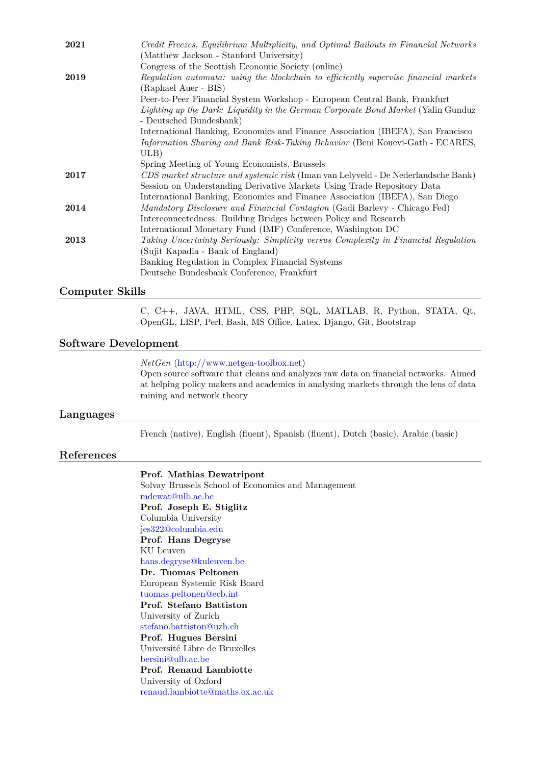| 2021 | Credit Freezes, Equilibrium Multiplicity, and Optimal Bailouts in Financial Networks |
|------|--------------------------------------------------------------------------------------|
|      | (Matthew Jackson - Stanford University)                                              |
|      | Congress of the Scottish Economic Society (online)                                   |
| 2019 | Regulation automata: using the blockchain to efficiently supervise financial markets |
|      | (Raphael Auer - BIS)                                                                 |
|      | Peer-to-Peer Financial System Workshop - European Central Bank, Frankfurt            |
|      | Lighting up the Dark: Liquidity in the German Corporate Bond Market (Yalin Gunduz    |
|      | - Deutsched Bundesbank)                                                              |
|      | International Banking, Economics and Finance Association (IBEFA), San Francisco      |
|      | Information Sharing and Bank Risk-Taking Behavior (Beni Kouevi-Gath - ECARES,        |
|      | ULB)                                                                                 |
|      | Spring Meeting of Young Economists, Brussels                                         |
| 2017 | CDS market structure and systemic risk (Iman van Lelyveld - De Nederlandsche Bank)   |
|      | Session on Understanding Derivative Markets Using Trade Repository Data              |
|      | International Banking, Economics and Finance Association (IBEFA), San Diego          |
| 2014 | Mandatory Disclosure and Financial Contagion (Gadi Barlevy - Chicago Fed)            |
|      | Interconnectedness: Building Bridges between Policy and Research                     |
|      | International Monetary Fund (IMF) Conference, Washington DC                          |
| 2013 | Taking Uncertainty Seriously: Simplicity versus Complexity in Financial Regulation   |
|      | (Sujit Kapadia - Bank of England)                                                    |
|      | Banking Regulation in Complex Financial Systems                                      |
|      | Deutsche Bundesbank Conference, Frankfurt                                            |

#### **Computer Skills**

C, C++, JAVA, HTML, CSS, PHP, SQL, MATLAB, R, Python, STATA, Qt, OpenGL, LISP, Perl, Bash, MS Office, Latex, Django, Git, Bootstrap

#### **Software Development**

#### *NetGen* [\(http://www.netgen-toolbox.net\)](http://www.netgen-toolbox.net)

Open source software that cleans and analyzes raw data on financial networks. Aimed at helping policy makers and academics in analysing markets through the lens of data mining and network theory

### **Languages**

French (native), English (fluent), Spanish (fluent), Dutch (basic), Arabic (basic)

#### **References**

#### **Prof. Mathias Dewatripont**

Solvay Brussels School of Economics and Management mdewat@ulb.ac.be **Prof. Joseph E. Stiglitz** Columbia University jes322@columbia.edu **Prof. Hans Degryse** KU Leuven hans.degryse@kuleuven.be **Dr. Tuomas Peltonen** European Systemic Risk Board tuomas.peltonen@ecb.int **Prof. Stefano Battiston** University of Zurich stefano.battiston@uzh.ch **Prof. Hugues Bersini** Université Libre de Bruxelles bersini@ulb.ac.be **Prof. Renaud Lambiotte** University of Oxford renaud.lambiotte@maths.ox.ac.uk